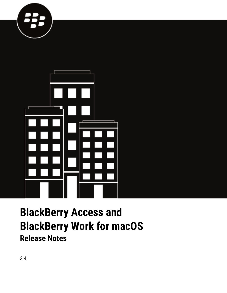



# **BlackBerry Access and BlackBerry Work for macOS Release Notes**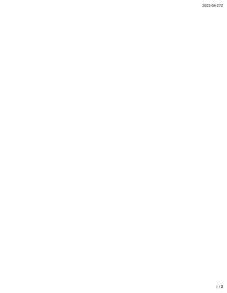2022-04-27Z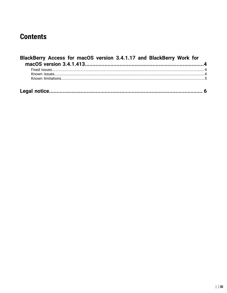## **Contents**

| BlackBerry Access for macOS version 3.4.1.17 and BlackBerry Work for |  |
|----------------------------------------------------------------------|--|
|                                                                      |  |
|                                                                      |  |
|                                                                      |  |
|                                                                      |  |
|                                                                      |  |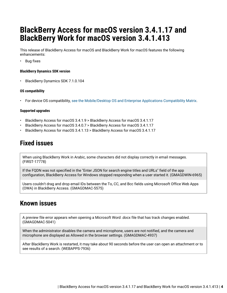# <span id="page-3-0"></span>**BlackBerry Access for macOS version 3.4.1.17 and BlackBerry Work for macOS version 3.4.1.413**

This release of BlackBerry Access for macOS and BlackBerry Work for macOS features the following enhancements:

• Bug fixes

#### **BlackBerry Dynamics SDK version**

• BlackBerry Dynamics SDK 7.1.0.104

#### **OS compatibility**

• For device OS compatibility, [see the Mobile/Desktop OS and Enterprise Applications Compatibility Matrix](https://docs.blackberry.com/en/endpoint-management/compatibility-matrix/mobile-os-matrix/ksa1417208635967).

#### **Supported upgrades**

- BlackBerry Access for macOS 3.4.1.9 > BlackBerry Access for macOS 3.4.1.17
- BlackBerry Access for macOS 3.4.0.7 > BlackBerry Access for macOS 3.4.1.17
- BlackBerry Access for macOS 3.4.1.13 > BlackBerry Access for macOS 3.4.1.17

### <span id="page-3-1"></span>**Fixed issues**

When using BlackBerry Work in Arabic, some characters did not display correctly in email messages. (FIRST-17778)

If the FQDN was not specified in the "Enter JSON for search engine titles and URLs" field of the app configuration, BlackBerry Access for Windows stopped responding when a user started it. (GMAGDWIN-6965)

Users couldn't drag and drop email IDs between the To, CC, and Bcc fields using Microsoft Office Web Apps (OWA) in BlackBerry Access. (GMAGDMAC-5575)

### <span id="page-3-2"></span>**Known issues**

A preview file error appears when opening a Microsoft Word .docx file that has track changes enabled. (GMAGDMAC-5041)

When the administrator disables the camera and microphone, users are not notified, and the camera and microphone are displayed as Allowed in the browser settings. (GMAGDMAC-4937)

After BlackBerry Work is restarted, it may take about 90 seconds before the user can open an attachment or to see results of a search. (WEBAPPS-7936)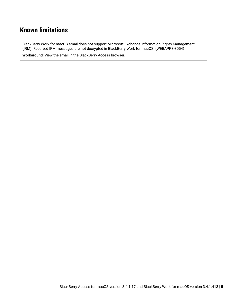### <span id="page-4-0"></span>**Known limitations**

BlackBerry Work for macOS email does not support Microsoft Exchange Information Rights Management (IRM). Received IRM messages are not decrypted in BlackBerry Work for macOS. (WEBAPPS-8054)

**Workaround**: View the email in the BlackBerry Access browser.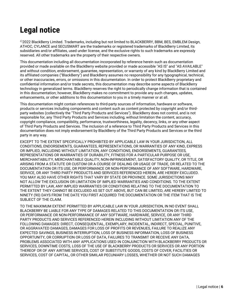# <span id="page-5-0"></span>**Legal notice**

©2022 BlackBerry Limited. Trademarks, including but not limited to BLACKBERRY, BBM, BES, EMBLEM Design, ATHOC, CYLANCE and SECUSMART are the trademarks or registered trademarks of BlackBerry Limited, its subsidiaries and/or affiliates, used under license, and the exclusive rights to such trademarks are expressly reserved. All other trademarks are the property of their respective owners.

This documentation including all documentation incorporated by reference herein such as documentation provided or made available on the BlackBerry website provided or made accessible "AS IS" and "AS AVAILABLE" and without condition, endorsement, guarantee, representation, or warranty of any kind by BlackBerry Limited and its affiliated companies ("BlackBerry") and BlackBerry assumes no responsibility for any typographical, technical, or other inaccuracies, errors, or omissions in this documentation. In order to protect BlackBerry proprietary and confidential information and/or trade secrets, this documentation may describe some aspects of BlackBerry technology in generalized terms. BlackBerry reserves the right to periodically change information that is contained in this documentation; however, BlackBerry makes no commitment to provide any such changes, updates, enhancements, or other additions to this documentation to you in a timely manner or at all.

This documentation might contain references to third-party sources of information, hardware or software, products or services including components and content such as content protected by copyright and/or thirdparty websites (collectively the "Third Party Products and Services"). BlackBerry does not control, and is not responsible for, any Third Party Products and Services including, without limitation the content, accuracy, copyright compliance, compatibility, performance, trustworthiness, legality, decency, links, or any other aspect of Third Party Products and Services. The inclusion of a reference to Third Party Products and Services in this documentation does not imply endorsement by BlackBerry of the Third Party Products and Services or the third party in any way.

EXCEPT TO THE EXTENT SPECIFICALLY PROHIBITED BY APPLICABLE LAW IN YOUR JURISDICTION, ALL CONDITIONS, ENDORSEMENTS, GUARANTEES, REPRESENTATIONS, OR WARRANTIES OF ANY KIND, EXPRESS OR IMPLIED, INCLUDING WITHOUT LIMITATION, ANY CONDITIONS, ENDORSEMENTS, GUARANTEES, REPRESENTATIONS OR WARRANTIES OF DURABILITY, FITNESS FOR A PARTICULAR PURPOSE OR USE, MERCHANTABILITY, MERCHANTABLE QUALITY, NON-INFRINGEMENT, SATISFACTORY QUALITY, OR TITLE, OR ARISING FROM A STATUTE OR CUSTOM OR A COURSE OF DEALING OR USAGE OF TRADE, OR RELATED TO THE DOCUMENTATION OR ITS USE, OR PERFORMANCE OR NON-PERFORMANCE OF ANY SOFTWARE, HARDWARE, SERVICE, OR ANY THIRD PARTY PRODUCTS AND SERVICES REFERENCED HEREIN, ARE HEREBY EXCLUDED. YOU MAY ALSO HAVE OTHER RIGHTS THAT VARY BY STATE OR PROVINCE. SOME JURISDICTIONS MAY NOT ALLOW THE EXCLUSION OR LIMITATION OF IMPLIED WARRANTIES AND CONDITIONS. TO THE EXTENT PERMITTED BY LAW, ANY IMPLIED WARRANTIES OR CONDITIONS RELATING TO THE DOCUMENTATION TO THE EXTENT THEY CANNOT BE EXCLUDED AS SET OUT ABOVE, BUT CAN BE LIMITED, ARE HEREBY LIMITED TO NINETY (90) DAYS FROM THE DATE YOU FIRST ACQUIRED THE DOCUMENTATION OR THE ITEM THAT IS THE SUBJECT OF THE CLAIM.

TO THE MAXIMUM EXTENT PERMITTED BY APPLICABLE LAW IN YOUR JURISDICTION, IN NO EVENT SHALL BLACKBERRY BE LIABLE FOR ANY TYPE OF DAMAGES RELATED TO THIS DOCUMENTATION OR ITS USE, OR PERFORMANCE OR NON-PERFORMANCE OF ANY SOFTWARE, HARDWARE, SERVICE, OR ANY THIRD PARTY PRODUCTS AND SERVICES REFERENCED HEREIN INCLUDING WITHOUT LIMITATION ANY OF THE FOLLOWING DAMAGES: DIRECT, CONSEQUENTIAL, EXEMPLARY, INCIDENTAL, INDIRECT, SPECIAL, PUNITIVE, OR AGGRAVATED DAMAGES, DAMAGES FOR LOSS OF PROFITS OR REVENUES, FAILURE TO REALIZE ANY EXPECTED SAVINGS, BUSINESS INTERRUPTION, LOSS OF BUSINESS INFORMATION, LOSS OF BUSINESS OPPORTUNITY, OR CORRUPTION OR LOSS OF DATA, FAILURES TO TRANSMIT OR RECEIVE ANY DATA, PROBLEMS ASSOCIATED WITH ANY APPLICATIONS USED IN CONJUNCTION WITH BLACKBERRY PRODUCTS OR SERVICES, DOWNTIME COSTS, LOSS OF THE USE OF BLACKBERRY PRODUCTS OR SERVICES OR ANY PORTION THEREOF OR OF ANY AIRTIME SERVICES, COST OF SUBSTITUTE GOODS, COSTS OF COVER, FACILITIES OR SERVICES, COST OF CAPITAL, OR OTHER SIMILAR PECUNIARY LOSSES, WHETHER OR NOT SUCH DAMAGES